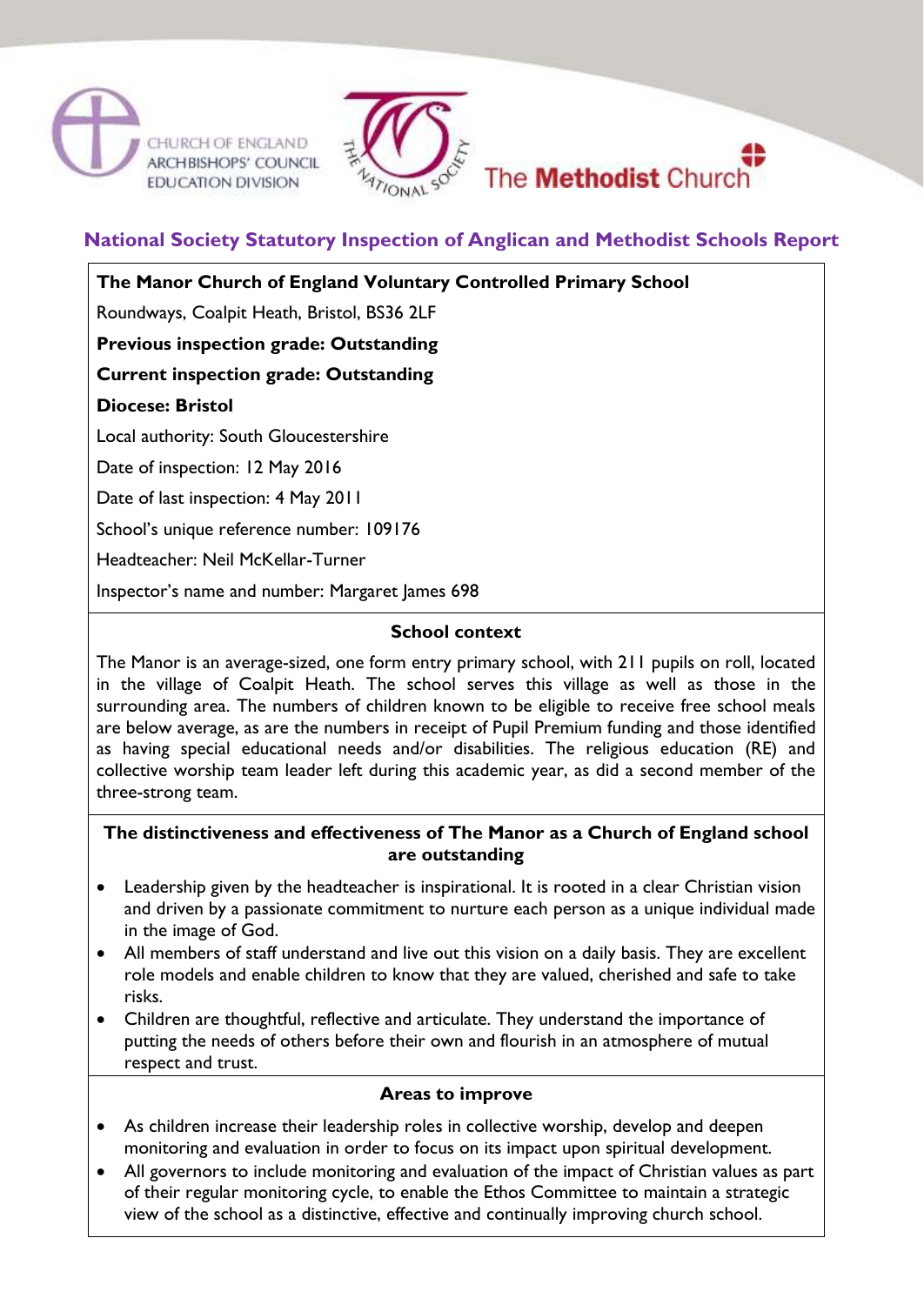





**National Society Statutory Inspection of Anglican and Methodist Schools Report**

**The Manor Church of England Voluntary Controlled Primary School**

Roundways, Coalpit Heath, Bristol, BS36 2LF

**Previous inspection grade: Outstanding**

**Current inspection grade: Outstanding**

**Diocese: Bristol**

Local authority: South Gloucestershire

Date of inspection: 12 May 2016

Date of last inspection: 4 May 2011

School's unique reference number: 109176

Headteacher: Neil McKellar-Turner

Inspector's name and number: Margaret James 698

#### **School context**

The Manor is an average-sized, one form entry primary school, with 211 pupils on roll, located in the village of Coalpit Heath. The school serves this village as well as those in the surrounding area. The numbers of children known to be eligible to receive free school meals are below average, as are the numbers in receipt of Pupil Premium funding and those identified as having special educational needs and/or disabilities. The religious education (RE) and collective worship team leader left during this academic year, as did a second member of the three-strong team.

# **The distinctiveness and effectiveness of The Manor as a Church of England school are outstanding**

- Leadership given by the headteacher is inspirational. It is rooted in a clear Christian vision and driven by a passionate commitment to nurture each person as a unique individual made in the image of God.
- All members of staff understand and live out this vision on a daily basis. They are excellent role models and enable children to know that they are valued, cherished and safe to take risks.
- Children are thoughtful, reflective and articulate. They understand the importance of putting the needs of others before their own and flourish in an atmosphere of mutual respect and trust.

# **Areas to improve**

- As children increase their leadership roles in collective worship, develop and deepen monitoring and evaluation in order to focus on its impact upon spiritual development.
- All governors to include monitoring and evaluation of the impact of Christian values as part of their regular monitoring cycle, to enable the Ethos Committee to maintain a strategic view of the school as a distinctive, effective and continually improving church school.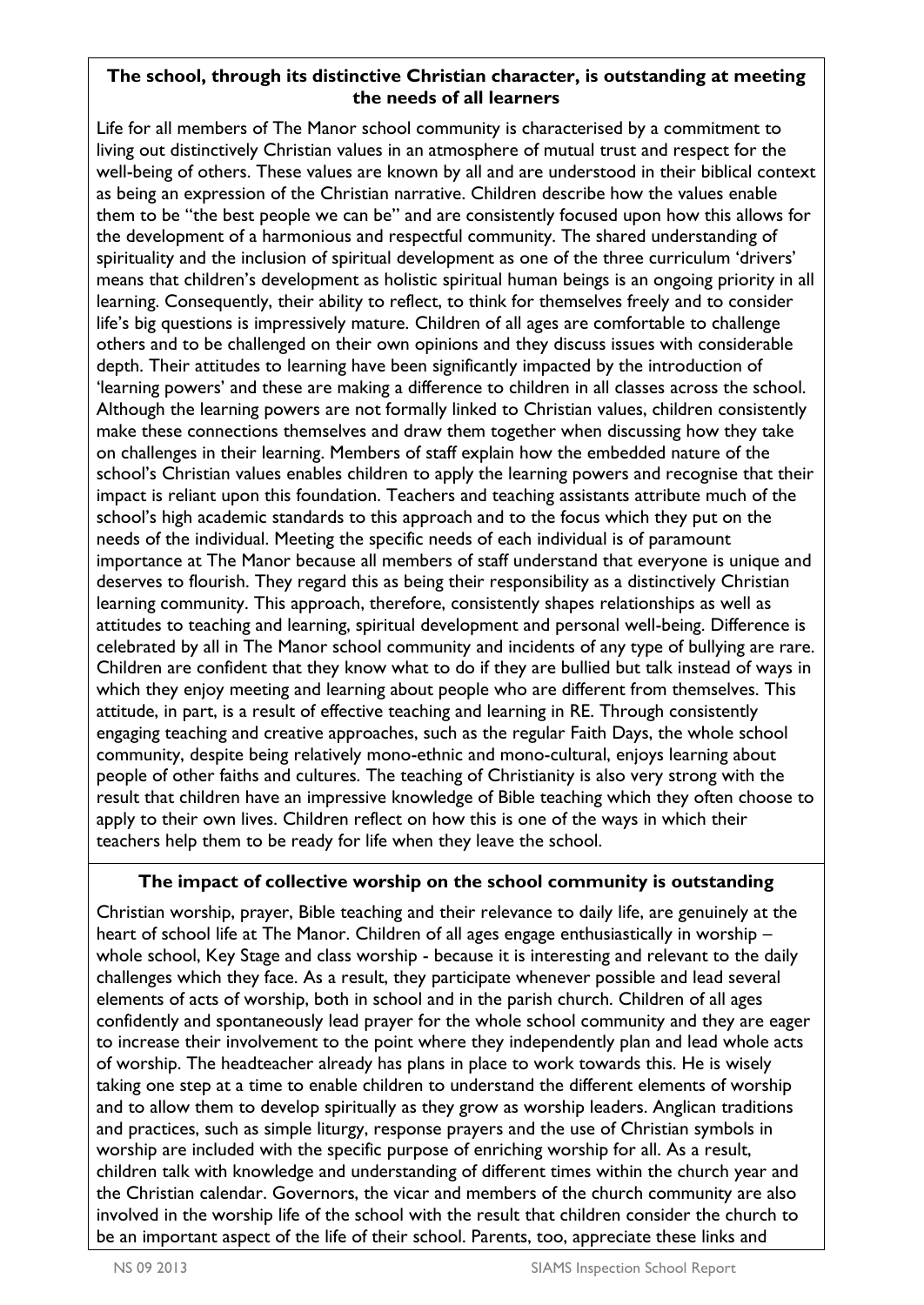# **The school, through its distinctive Christian character, is outstanding at meeting the needs of all learners**

Life for all members of The Manor school community is characterised by a commitment to living out distinctively Christian values in an atmosphere of mutual trust and respect for the well-being of others. These values are known by all and are understood in their biblical context as being an expression of the Christian narrative. Children describe how the values enable them to be "the best people we can be" and are consistently focused upon how this allows for the development of a harmonious and respectful community. The shared understanding of spirituality and the inclusion of spiritual development as one of the three curriculum 'drivers' means that children's development as holistic spiritual human beings is an ongoing priority in all learning. Consequently, their ability to reflect, to think for themselves freely and to consider life's big questions is impressively mature. Children of all ages are comfortable to challenge others and to be challenged on their own opinions and they discuss issues with considerable depth. Their attitudes to learning have been significantly impacted by the introduction of 'learning powers' and these are making a difference to children in all classes across the school. Although the learning powers are not formally linked to Christian values, children consistently make these connections themselves and draw them together when discussing how they take on challenges in their learning. Members of staff explain how the embedded nature of the school's Christian values enables children to apply the learning powers and recognise that their impact is reliant upon this foundation. Teachers and teaching assistants attribute much of the school's high academic standards to this approach and to the focus which they put on the needs of the individual. Meeting the specific needs of each individual is of paramount importance at The Manor because all members of staff understand that everyone is unique and deserves to flourish. They regard this as being their responsibility as a distinctively Christian learning community. This approach, therefore, consistently shapes relationships as well as attitudes to teaching and learning, spiritual development and personal well-being. Difference is celebrated by all in The Manor school community and incidents of any type of bullying are rare. Children are confident that they know what to do if they are bullied but talk instead of ways in which they enjoy meeting and learning about people who are different from themselves. This attitude, in part, is a result of effective teaching and learning in RE. Through consistently engaging teaching and creative approaches, such as the regular Faith Days, the whole school community, despite being relatively mono-ethnic and mono-cultural, enjoys learning about people of other faiths and cultures. The teaching of Christianity is also very strong with the result that children have an impressive knowledge of Bible teaching which they often choose to apply to their own lives. Children reflect on how this is one of the ways in which their teachers help them to be ready for life when they leave the school.

# **The impact of collective worship on the school community is outstanding**

Christian worship, prayer, Bible teaching and their relevance to daily life, are genuinely at the heart of school life at The Manor. Children of all ages engage enthusiastically in worship – whole school, Key Stage and class worship - because it is interesting and relevant to the daily challenges which they face. As a result, they participate whenever possible and lead several elements of acts of worship, both in school and in the parish church. Children of all ages confidently and spontaneously lead prayer for the whole school community and they are eager to increase their involvement to the point where they independently plan and lead whole acts of worship. The headteacher already has plans in place to work towards this. He is wisely taking one step at a time to enable children to understand the different elements of worship and to allow them to develop spiritually as they grow as worship leaders. Anglican traditions and practices, such as simple liturgy, response prayers and the use of Christian symbols in worship are included with the specific purpose of enriching worship for all. As a result, children talk with knowledge and understanding of different times within the church year and the Christian calendar. Governors, the vicar and members of the church community are also involved in the worship life of the school with the result that children consider the church to be an important aspect of the life of their school. Parents, too, appreciate these links and